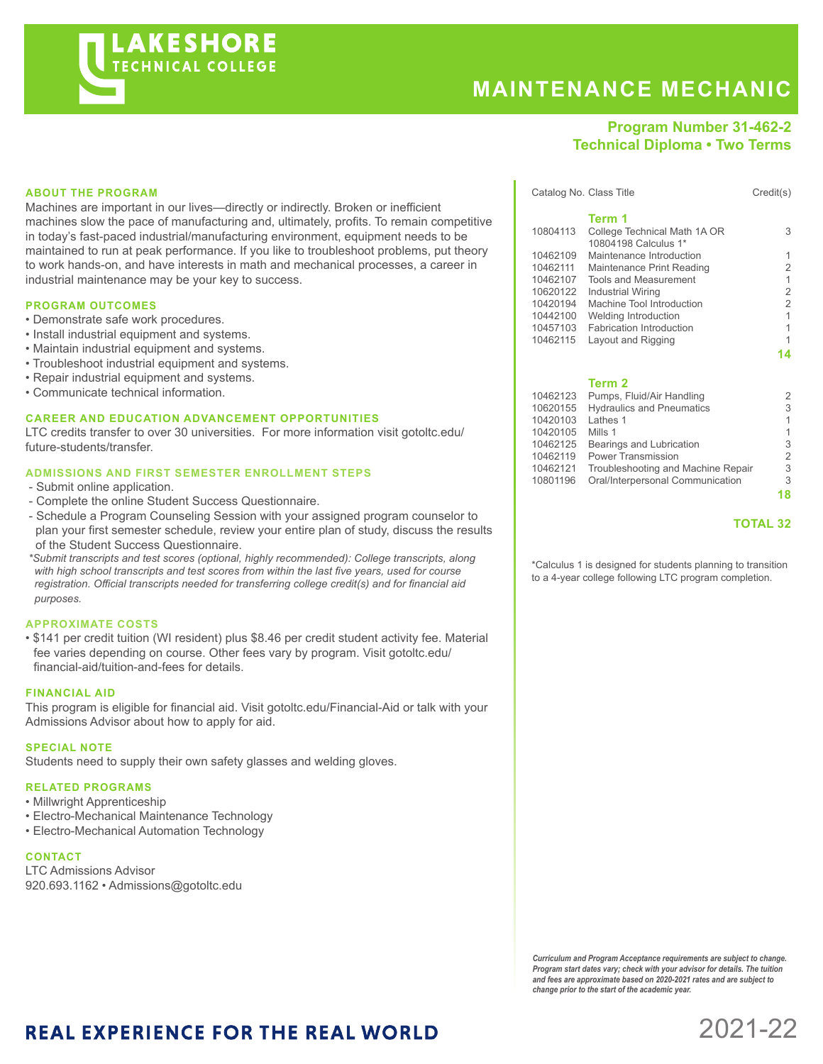# **KESHORE** *FECHNICAL COLLEGE*

# **MAINTENANCE MECHANIC**

## **Program Number 31-462-2 Technical Diploma • Two Terms**

#### **ABOUT THE PROGRAM**

Machines are important in our lives—directly or indirectly. Broken or inefficient machines slow the pace of manufacturing and, ultimately, profits. To remain competitive in today's fast-paced industrial/manufacturing environment, equipment needs to be maintained to run at peak performance. If you like to troubleshoot problems, put theory to work hands-on, and have interests in math and mechanical processes, a career in industrial maintenance may be your key to success.

#### **PROGRAM OUTCOMES**

- Demonstrate safe work procedures.
- Install industrial equipment and systems.
- Maintain industrial equipment and systems.
- Troubleshoot industrial equipment and systems.
- Repair industrial equipment and systems.
- Communicate technical information.

#### **CAREER AND EDUCATION ADVANCEMENT OPPORTUNITIES**

LTC credits transfer to over 30 universities. For more information visit gotoltc.edu/ future-students/transfer.

#### **ADMISSIONS AND FIRST SEMESTER ENROLLMENT STEPS**

- Submit online application.
- Complete the online Student Success Questionnaire.
- Schedule a Program Counseling Session with your assigned program counselor to plan your first semester schedule, review your entire plan of study, discuss the results of the Student Success Questionnaire.
- *\*Submit transcripts and test scores (optional, highly recommended): College transcripts, along with high school transcripts and test scores from within the last five years, used for course registration. Official transcripts needed for transferring college credit(s) and for financial aid purposes.*

#### **APPROXIMATE COSTS**

• \$141 per credit tuition (WI resident) plus \$8.46 per credit student activity fee. Material fee varies depending on course. Other fees vary by program. Visit gotoltc.edu/ financial-aid/tuition-and-fees for details.

#### **FINANCIAL AID**

This program is eligible for financial aid. Visit gotoltc.edu/Financial-Aid or talk with your Admissions Advisor about how to apply for aid.

#### **SPECIAL NOTE**

Students need to supply their own safety glasses and welding gloves.

#### **RELATED PROGRAMS**

- Millwright Apprenticeship
- Electro-Mechanical Maintenance Technology
- Electro-Mechanical Automation Technology

#### **CONTACT**

LTC Admissions Advisor 920.693.1162 • Admissions@gotoltc.edu

|          | Catalog No. Class Title         | Credit(s)      |
|----------|---------------------------------|----------------|
|          | Term 1                          |                |
| 10804113 | College Technical Math 1A OR    | 3              |
|          | 10804198 Calculus 1*            |                |
| 10462109 | Maintenance Introduction        | 1              |
| 10462111 | Maintenance Print Reading       | $\overline{2}$ |
| 10462107 | <b>Tools and Measurement</b>    | 1              |
| 10620122 | Industrial Wiring               | $\overline{2}$ |
| 10420194 | Machine Tool Introduction       | $\overline{2}$ |
| 10442100 | Welding Introduction            | 1              |
| 10457103 | <b>Fabrication Introduction</b> | 1              |
| 10462115 | Layout and Rigging              | 1              |
|          |                                 |                |

**14**

#### **Term 2**

| Pumps, Fluid/Air Handling          | 2              |
|------------------------------------|----------------|
| <b>Hydraulics and Pneumatics</b>   | 3              |
| Lathes 1                           | 1              |
| Mills 1                            | 1              |
| Bearings and Lubrication           | 3              |
| <b>Power Transmission</b>          | $\overline{2}$ |
| Troubleshooting and Machine Repair | 3              |
| Oral/Interpersonal Communication   | 3              |
|                                    | 18             |
|                                    |                |

#### **TOTAL 32**

\*Calculus 1 is designed for students planning to transition to a 4-year college following LTC program completion.

*Curriculum and Program Acceptance requirements are subject to change. Program start dates vary; check with your advisor for details. The tuition and fees are approximate based on 2020-2021 rates and are subject to change prior to the start of the academic year.* 

2021-22

# **REAL EXPERIENCE FOR THE REAL WORLD**